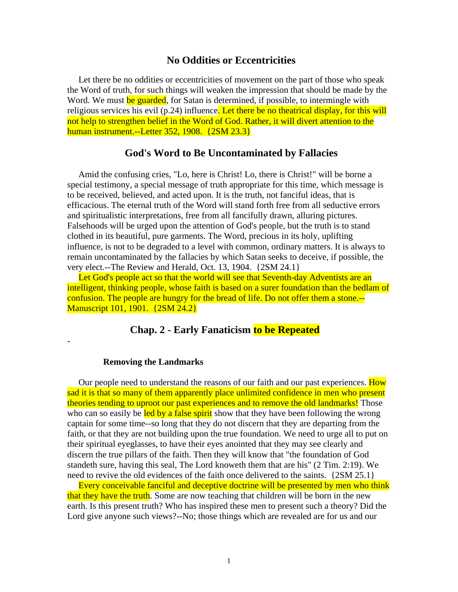## **No Oddities or Eccentricities**

 Let there be no oddities or eccentricities of movement on the part of those who speak the Word of truth, for such things will weaken the impression that should be made by the Word. We must be guarded, for Satan is determined, if possible, to intermingle with religious services his evil (p.24) influence. Let there be no theatrical display, for this will not help to strengthen belief in the Word of God. Rather, it will divert attention to the human instrument.--Letter 352, 1908. {2SM 23.3}

### **God's Word to Be Uncontaminated by Fallacies**

 Amid the confusing cries, "Lo, here is Christ! Lo, there is Christ!" will be borne a special testimony, a special message of truth appropriate for this time, which message is to be received, believed, and acted upon. It is the truth, not fanciful ideas, that is efficacious. The eternal truth of the Word will stand forth free from all seductive errors and spiritualistic interpretations, free from all fancifully drawn, alluring pictures. Falsehoods will be urged upon the attention of God's people, but the truth is to stand clothed in its beautiful, pure garments. The Word, precious in its holy, uplifting influence, is not to be degraded to a level with common, ordinary matters. It is always to remain uncontaminated by the fallacies by which Satan seeks to deceive, if possible, the very elect.--The Review and Herald, Oct. 13, 1904. {2SM 24.1}

Let God's people act so that the world will see that Seventh-day Adventists are an intelligent, thinking people, whose faith is based on a surer foundation than the bedlam of confusion. The people are hungry for the bread of life. Do not offer them a stone.-- Manuscript 101, 1901. {2SM 24.2}

## **Chap. 2 - Early Fanaticism to be Repeated**

### **Removing the Landmarks**

-

Our people need to understand the reasons of our faith and our past experiences. How sad it is that so many of them apparently place unlimited confidence in men who present theories tending to uproot our past experiences and to remove the old landmarks! Those who can so easily be led by a false spirit show that they have been following the wrong captain for some time--so long that they do not discern that they are departing from the faith, or that they are not building upon the true foundation. We need to urge all to put on their spiritual eyeglasses, to have their eyes anointed that they may see clearly and discern the true pillars of the faith. Then they will know that "the foundation of God standeth sure, having this seal, The Lord knoweth them that are his" (2 Tim. 2:19). We need to revive the old evidences of the faith once delivered to the saints. {2SM 25.1}

 Every conceivable fanciful and deceptive doctrine will be presented by men who think that they have the truth. Some are now teaching that children will be born in the new earth. Is this present truth? Who has inspired these men to present such a theory? Did the Lord give anyone such views?--No; those things which are revealed are for us and our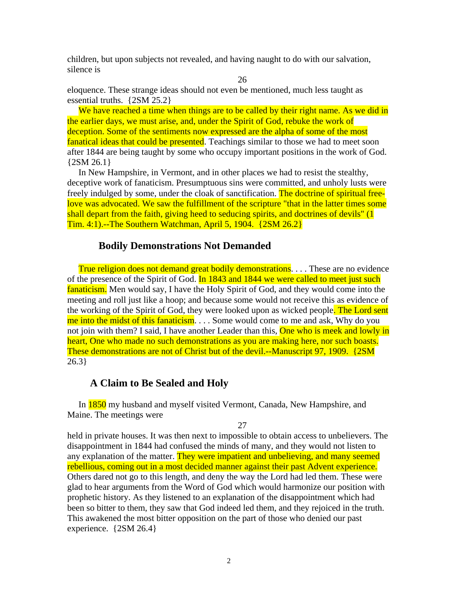children, but upon subjects not revealed, and having naught to do with our salvation, silence is

26

eloquence. These strange ideas should not even be mentioned, much less taught as essential truths. {2SM 25.2}

We have reached a time when things are to be called by their right name. As we did in the earlier days, we must arise, and, under the Spirit of God, rebuke the work of deception. Some of the sentiments now expressed are the alpha of some of the most fanatical ideas that could be presented. Teachings similar to those we had to meet soon after 1844 are being taught by some who occupy important positions in the work of God.  ${2SM 26.1}$ 

 In New Hampshire, in Vermont, and in other places we had to resist the stealthy, deceptive work of fanaticism. Presumptuous sins were committed, and unholy lusts were freely indulged by some, under the cloak of sanctification. The doctrine of spiritual freelove was advocated. We saw the fulfillment of the scripture "that in the latter times some shall depart from the faith, giving heed to seducing spirits, and doctrines of devils" (1 Tim. 4:1).--The Southern Watchman, April 5, 1904. {2SM 26.2}

### **Bodily Demonstrations Not Demanded**

 True religion does not demand great bodily demonstrations. . . . These are no evidence of the presence of the Spirit of God. In 1843 and 1844 we were called to meet just such fanaticism. Men would say, I have the Holy Spirit of God, and they would come into the meeting and roll just like a hoop; and because some would not receive this as evidence of the working of the Spirit of God, they were looked upon as wicked people. The Lord sent me into the midst of this fanaticism. . . . Some would come to me and ask, Why do you not join with them? I said, I have another Leader than this, One who is meek and lowly in heart, One who made no such demonstrations as you are making here, nor such boasts. These demonstrations are not of Christ but of the devil.--Manuscript 97, 1909. {2SM 26.3}

## **A Claim to Be Sealed and Holy**

 In 1850 my husband and myself visited Vermont, Canada, New Hampshire, and Maine. The meetings were

27

held in private houses. It was then next to impossible to obtain access to unbelievers. The disappointment in 1844 had confused the minds of many, and they would not listen to any explanation of the matter. They were impatient and unbelieving, and many seemed rebellious, coming out in a most decided manner against their past Advent experience. Others dared not go to this length, and deny the way the Lord had led them. These were glad to hear arguments from the Word of God which would harmonize our position with prophetic history. As they listened to an explanation of the disappointment which had been so bitter to them, they saw that God indeed led them, and they rejoiced in the truth. This awakened the most bitter opposition on the part of those who denied our past experience. {2SM 26.4}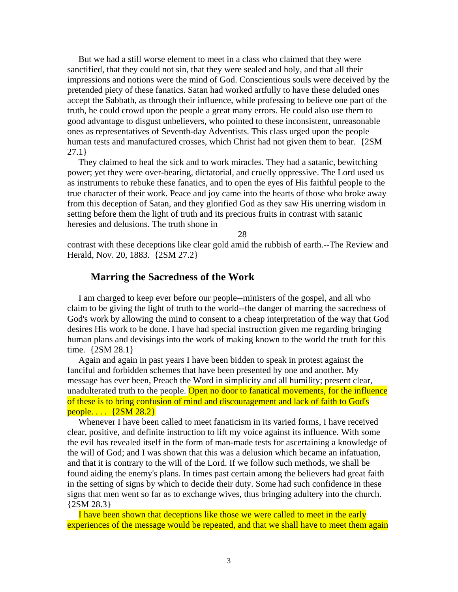But we had a still worse element to meet in a class who claimed that they were sanctified, that they could not sin, that they were sealed and holy, and that all their impressions and notions were the mind of God. Conscientious souls were deceived by the pretended piety of these fanatics. Satan had worked artfully to have these deluded ones accept the Sabbath, as through their influence, while professing to believe one part of the truth, he could crowd upon the people a great many errors. He could also use them to good advantage to disgust unbelievers, who pointed to these inconsistent, unreasonable ones as representatives of Seventh-day Adventists. This class urged upon the people human tests and manufactured crosses, which Christ had not given them to bear. {2SM 27.1}

 They claimed to heal the sick and to work miracles. They had a satanic, bewitching power; yet they were over-bearing, dictatorial, and cruelly oppressive. The Lord used us as instruments to rebuke these fanatics, and to open the eyes of His faithful people to the true character of their work. Peace and joy came into the hearts of those who broke away from this deception of Satan, and they glorified God as they saw His unerring wisdom in setting before them the light of truth and its precious fruits in contrast with satanic heresies and delusions. The truth shone in

28

contrast with these deceptions like clear gold amid the rubbish of earth.--The Review and Herald, Nov. 20, 1883. {2SM 27.2}

### **Marring the Sacredness of the Work**

 I am charged to keep ever before our people--ministers of the gospel, and all who claim to be giving the light of truth to the world--the danger of marring the sacredness of God's work by allowing the mind to consent to a cheap interpretation of the way that God desires His work to be done. I have had special instruction given me regarding bringing human plans and devisings into the work of making known to the world the truth for this time. {2SM 28.1}

 Again and again in past years I have been bidden to speak in protest against the fanciful and forbidden schemes that have been presented by one and another. My message has ever been, Preach the Word in simplicity and all humility; present clear, unadulterated truth to the people. Open no door to fanatical movements, for the influence of these is to bring confusion of mind and discouragement and lack of faith to God's people. . . . {2SM 28.2}

 Whenever I have been called to meet fanaticism in its varied forms, I have received clear, positive, and definite instruction to lift my voice against its influence. With some the evil has revealed itself in the form of man-made tests for ascertaining a knowledge of the will of God; and I was shown that this was a delusion which became an infatuation, and that it is contrary to the will of the Lord. If we follow such methods, we shall be found aiding the enemy's plans. In times past certain among the believers had great faith in the setting of signs by which to decide their duty. Some had such confidence in these signs that men went so far as to exchange wives, thus bringing adultery into the church. {2SM 28.3}

I have been shown that deceptions like those we were called to meet in the early experiences of the message would be repeated, and that we shall have to meet them again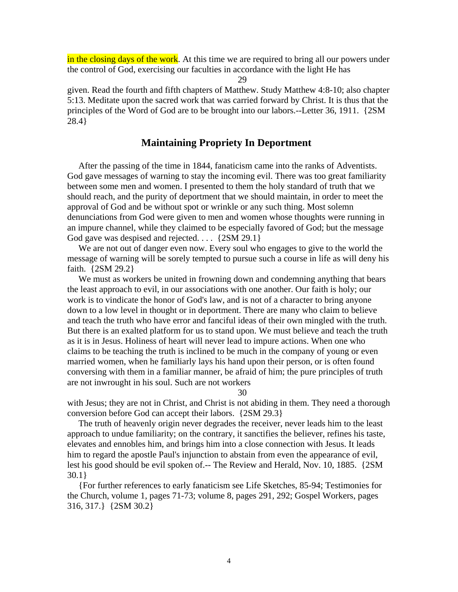in the closing days of the work. At this time we are required to bring all our powers under the control of God, exercising our faculties in accordance with the light He has

29

given. Read the fourth and fifth chapters of Matthew. Study Matthew 4:8-10; also chapter 5:13. Meditate upon the sacred work that was carried forward by Christ. It is thus that the principles of the Word of God are to be brought into our labors.--Letter 36, 1911. {2SM 28.4}

## **Maintaining Propriety In Deportment**

 After the passing of the time in 1844, fanaticism came into the ranks of Adventists. God gave messages of warning to stay the incoming evil. There was too great familiarity between some men and women. I presented to them the holy standard of truth that we should reach, and the purity of deportment that we should maintain, in order to meet the approval of God and be without spot or wrinkle or any such thing. Most solemn denunciations from God were given to men and women whose thoughts were running in an impure channel, while they claimed to be especially favored of God; but the message God gave was despised and rejected. . . . {2SM 29.1}

 We are not out of danger even now. Every soul who engages to give to the world the message of warning will be sorely tempted to pursue such a course in life as will deny his faith. {2SM 29.2}

 We must as workers be united in frowning down and condemning anything that bears the least approach to evil, in our associations with one another. Our faith is holy; our work is to vindicate the honor of God's law, and is not of a character to bring anyone down to a low level in thought or in deportment. There are many who claim to believe and teach the truth who have error and fanciful ideas of their own mingled with the truth. But there is an exalted platform for us to stand upon. We must believe and teach the truth as it is in Jesus. Holiness of heart will never lead to impure actions. When one who claims to be teaching the truth is inclined to be much in the company of young or even married women, when he familiarly lays his hand upon their person, or is often found conversing with them in a familiar manner, be afraid of him; the pure principles of truth are not inwrought in his soul. Such are not workers

30

with Jesus; they are not in Christ, and Christ is not abiding in them. They need a thorough conversion before God can accept their labors. {2SM 29.3}

 The truth of heavenly origin never degrades the receiver, never leads him to the least approach to undue familiarity; on the contrary, it sanctifies the believer, refines his taste, elevates and ennobles him, and brings him into a close connection with Jesus. It leads him to regard the apostle Paul's injunction to abstain from even the appearance of evil, lest his good should be evil spoken of.-- The Review and Herald, Nov. 10, 1885. {2SM 30.1}

 {For further references to early fanaticism see Life Sketches, 85-94; Testimonies for the Church, volume 1, pages 71-73; volume 8, pages 291, 292; Gospel Workers, pages 316, 317.} {2SM 30.2}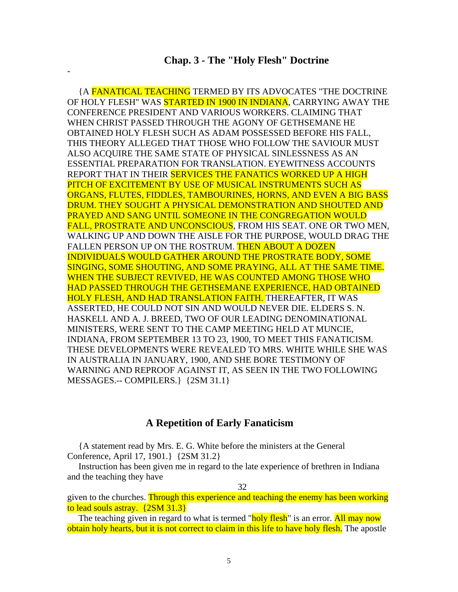### **Chap. 3 - The "Holy Flesh" Doctrine**

-

{A FANATICAL TEACHING TERMED BY ITS ADVOCATES "THE DOCTRINE OF HOLY FLESH" WAS STARTED IN 1900 IN INDIANA, CARRYING AWAY THE CONFERENCE PRESIDENT AND VARIOUS WORKERS. CLAIMING THAT WHEN CHRIST PASSED THROUGH THE AGONY OF GETHSEMANE HE OBTAINED HOLY FLESH SUCH AS ADAM POSSESSED BEFORE HIS FALL, THIS THEORY ALLEGED THAT THOSE WHO FOLLOW THE SAVIOUR MUST ALSO ACQUIRE THE SAME STATE OF PHYSICAL SINLESSNESS AS AN ESSENTIAL PREPARATION FOR TRANSLATION. EYEWITNESS ACCOUNTS REPORT THAT IN THEIR SERVICES THE FANATICS WORKED UP A HIGH PITCH OF EXCITEMENT BY USE OF MUSICAL INSTRUMENTS SUCH AS ORGANS, FLUTES, FIDDLES, TAMBOURINES, HORNS, AND EVEN A BIG BASS DRUM. THEY SOUGHT A PHYSICAL DEMONSTRATION AND SHOUTED AND PRAYED AND SANG UNTIL SOMEONE IN THE CONGREGATION WOULD FALL, PROSTRATE AND UNCONSCIOUS, FROM HIS SEAT. ONE OR TWO MEN, WALKING UP AND DOWN THE AISLE FOR THE PURPOSE, WOULD DRAG THE FALLEN PERSON UP ON THE ROSTRUM. THEN ABOUT A DOZEN INDIVIDUALS WOULD GATHER AROUND THE PROSTRATE BODY, SOME SINGING, SOME SHOUTING, AND SOME PRAYING, ALL AT THE SAME TIME. WHEN THE SUBJECT REVIVED, HE WAS COUNTED AMONG THOSE WHO HAD PASSED THROUGH THE GETHSEMANE EXPERIENCE, HAD OBTAINED HOLY FLESH, AND HAD TRANSLATION FAITH. THEREAFTER, IT WAS ASSERTED, HE COULD NOT SIN AND WOULD NEVER DIE. ELDERS S. N. HASKELL AND A. J. BREED, TWO OF OUR LEADING DENOMINATIONAL MINISTERS, WERE SENT TO THE CAMP MEETING HELD AT MUNCIE, INDIANA, FROM SEPTEMBER 13 TO 23, 1900, TO MEET THIS FANATICISM. THESE DEVELOPMENTS WERE REVEALED TO MRS. WHITE WHILE SHE WAS IN AUSTRALIA IN JANUARY, 1900, AND SHE BORE TESTIMONY OF WARNING AND REPROOF AGAINST IT, AS SEEN IN THE TWO FOLLOWING MESSAGES.-- COMPILERS.} {2SM 31.1}

## **A Repetition of Early Fanaticism**

 {A statement read by Mrs. E. G. White before the ministers at the General Conference, April 17, 1901.} {2SM 31.2}

 Instruction has been given me in regard to the late experience of brethren in Indiana and the teaching they have

32

given to the churches. Through this experience and teaching the enemy has been working to lead souls astray. {2SM 31.3}

The teaching given in regard to what is termed "holy flesh" is an error. All may now obtain holy hearts, but it is not correct to claim in this life to have holy flesh. The apostle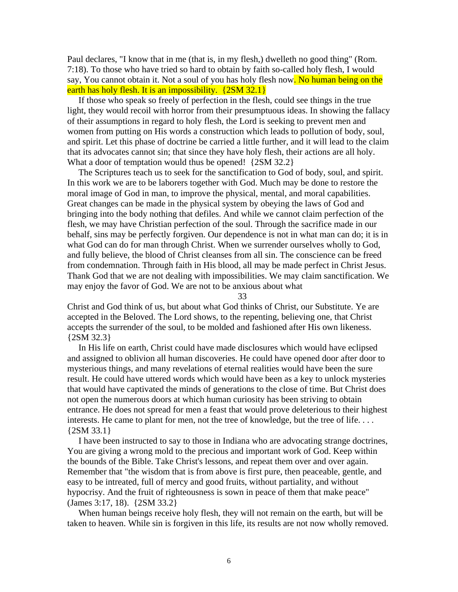Paul declares, "I know that in me (that is, in my flesh,) dwelleth no good thing" (Rom. 7:18). To those who have tried so hard to obtain by faith so-called holy flesh, I would say, You cannot obtain it. Not a soul of you has holy flesh now. No human being on the earth has holy flesh. It is an impossibility. {2SM 32.1}

 If those who speak so freely of perfection in the flesh, could see things in the true light, they would recoil with horror from their presumptuous ideas. In showing the fallacy of their assumptions in regard to holy flesh, the Lord is seeking to prevent men and women from putting on His words a construction which leads to pollution of body, soul, and spirit. Let this phase of doctrine be carried a little further, and it will lead to the claim that its advocates cannot sin; that since they have holy flesh, their actions are all holy. What a door of temptation would thus be opened! {2SM 32.2}

 The Scriptures teach us to seek for the sanctification to God of body, soul, and spirit. In this work we are to be laborers together with God. Much may be done to restore the moral image of God in man, to improve the physical, mental, and moral capabilities. Great changes can be made in the physical system by obeying the laws of God and bringing into the body nothing that defiles. And while we cannot claim perfection of the flesh, we may have Christian perfection of the soul. Through the sacrifice made in our behalf, sins may be perfectly forgiven. Our dependence is not in what man can do; it is in what God can do for man through Christ. When we surrender ourselves wholly to God, and fully believe, the blood of Christ cleanses from all sin. The conscience can be freed from condemnation. Through faith in His blood, all may be made perfect in Christ Jesus. Thank God that we are not dealing with impossibilities. We may claim sanctification. We may enjoy the favor of God. We are not to be anxious about what

33

Christ and God think of us, but about what God thinks of Christ, our Substitute. Ye are accepted in the Beloved. The Lord shows, to the repenting, believing one, that Christ accepts the surrender of the soul, to be molded and fashioned after His own likeness. {2SM 32.3}

 In His life on earth, Christ could have made disclosures which would have eclipsed and assigned to oblivion all human discoveries. He could have opened door after door to mysterious things, and many revelations of eternal realities would have been the sure result. He could have uttered words which would have been as a key to unlock mysteries that would have captivated the minds of generations to the close of time. But Christ does not open the numerous doors at which human curiosity has been striving to obtain entrance. He does not spread for men a feast that would prove deleterious to their highest interests. He came to plant for men, not the tree of knowledge, but the tree of life. . . . {2SM 33.1}

 I have been instructed to say to those in Indiana who are advocating strange doctrines, You are giving a wrong mold to the precious and important work of God. Keep within the bounds of the Bible. Take Christ's lessons, and repeat them over and over again. Remember that "the wisdom that is from above is first pure, then peaceable, gentle, and easy to be intreated, full of mercy and good fruits, without partiality, and without hypocrisy. And the fruit of righteousness is sown in peace of them that make peace" (James 3:17, 18). {2SM 33.2}

 When human beings receive holy flesh, they will not remain on the earth, but will be taken to heaven. While sin is forgiven in this life, its results are not now wholly removed.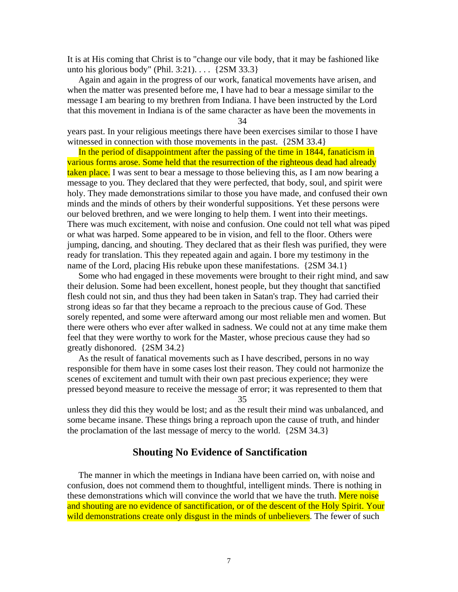It is at His coming that Christ is to "change our vile body, that it may be fashioned like unto his glorious body" (Phil.  $3:21$ ). . . .  $\{2SM\,33.3\}$ 

 Again and again in the progress of our work, fanatical movements have arisen, and when the matter was presented before me, I have had to bear a message similar to the message I am bearing to my brethren from Indiana. I have been instructed by the Lord that this movement in Indiana is of the same character as have been the movements in 34

years past. In your religious meetings there have been exercises similar to those I have witnessed in connection with those movements in the past. {2SM 33.4}

In the period of disappointment after the passing of the time in 1844, fanaticism in various forms arose. Some held that the resurrection of the righteous dead had already taken place. I was sent to bear a message to those believing this, as I am now bearing a message to you. They declared that they were perfected, that body, soul, and spirit were holy. They made demonstrations similar to those you have made, and confused their own minds and the minds of others by their wonderful suppositions. Yet these persons were our beloved brethren, and we were longing to help them. I went into their meetings. There was much excitement, with noise and confusion. One could not tell what was piped or what was harped. Some appeared to be in vision, and fell to the floor. Others were jumping, dancing, and shouting. They declared that as their flesh was purified, they were ready for translation. This they repeated again and again. I bore my testimony in the name of the Lord, placing His rebuke upon these manifestations. {2SM 34.1}

 Some who had engaged in these movements were brought to their right mind, and saw their delusion. Some had been excellent, honest people, but they thought that sanctified flesh could not sin, and thus they had been taken in Satan's trap. They had carried their strong ideas so far that they became a reproach to the precious cause of God. These sorely repented, and some were afterward among our most reliable men and women. But there were others who ever after walked in sadness. We could not at any time make them feel that they were worthy to work for the Master, whose precious cause they had so greatly dishonored. {2SM 34.2}

 As the result of fanatical movements such as I have described, persons in no way responsible for them have in some cases lost their reason. They could not harmonize the scenes of excitement and tumult with their own past precious experience; they were pressed beyond measure to receive the message of error; it was represented to them that

35

unless they did this they would be lost; and as the result their mind was unbalanced, and some became insane. These things bring a reproach upon the cause of truth, and hinder the proclamation of the last message of mercy to the world. {2SM 34.3}

### **Shouting No Evidence of Sanctification**

 The manner in which the meetings in Indiana have been carried on, with noise and confusion, does not commend them to thoughtful, intelligent minds. There is nothing in these demonstrations which will convince the world that we have the truth. Mere noise and shouting are no evidence of sanctification, or of the descent of the Holy Spirit. Your wild demonstrations create only disgust in the minds of unbelievers. The fewer of such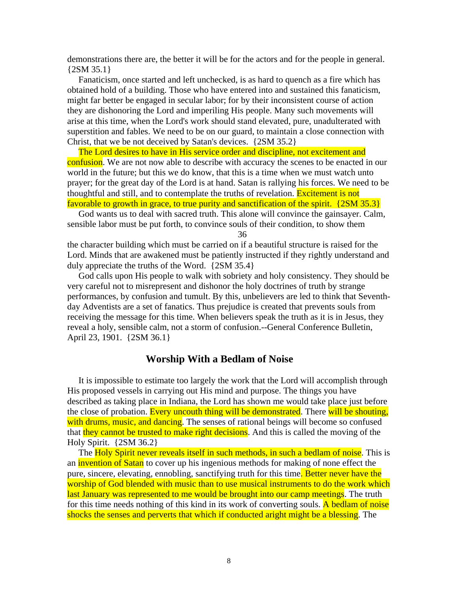demonstrations there are, the better it will be for the actors and for the people in general. {2SM 35.1}

 Fanaticism, once started and left unchecked, is as hard to quench as a fire which has obtained hold of a building. Those who have entered into and sustained this fanaticism, might far better be engaged in secular labor; for by their inconsistent course of action they are dishonoring the Lord and imperiling His people. Many such movements will arise at this time, when the Lord's work should stand elevated, pure, unadulterated with superstition and fables. We need to be on our guard, to maintain a close connection with Christ, that we be not deceived by Satan's devices. {2SM 35.2}

 The Lord desires to have in His service order and discipline, not excitement and confusion. We are not now able to describe with accuracy the scenes to be enacted in our world in the future; but this we do know, that this is a time when we must watch unto prayer; for the great day of the Lord is at hand. Satan is rallying his forces. We need to be thoughtful and still, and to contemplate the truths of revelation. Excitement is not favorable to growth in grace, to true purity and sanctification of the spirit. {2SM 35.3}

 God wants us to deal with sacred truth. This alone will convince the gainsayer. Calm, sensible labor must be put forth, to convince souls of their condition, to show them

36

the character building which must be carried on if a beautiful structure is raised for the Lord. Minds that are awakened must be patiently instructed if they rightly understand and duly appreciate the truths of the Word. {2SM 35.4}

 God calls upon His people to walk with sobriety and holy consistency. They should be very careful not to misrepresent and dishonor the holy doctrines of truth by strange performances, by confusion and tumult. By this, unbelievers are led to think that Seventhday Adventists are a set of fanatics. Thus prejudice is created that prevents souls from receiving the message for this time. When believers speak the truth as it is in Jesus, they reveal a holy, sensible calm, not a storm of confusion.--General Conference Bulletin, April 23, 1901. {2SM 36.1}

## **Worship With a Bedlam of Noise**

 It is impossible to estimate too largely the work that the Lord will accomplish through His proposed vessels in carrying out His mind and purpose. The things you have described as taking place in Indiana, the Lord has shown me would take place just before the close of probation. Every uncouth thing will be demonstrated. There will be shouting, with drums, music, and dancing. The senses of rational beings will become so confused that they cannot be trusted to make right decisions. And this is called the moving of the Holy Spirit. {2SM 36.2}

The Holy Spirit never reveals itself in such methods, in such a bedlam of noise. This is an **invention of Satan** to cover up his ingenious methods for making of none effect the pure, sincere, elevating, ennobling, sanctifying truth for this time. Better never have the worship of God blended with music than to use musical instruments to do the work which last January was represented to me would be brought into our camp meetings. The truth for this time needs nothing of this kind in its work of converting souls. A bedlam of noise shocks the senses and perverts that which if conducted aright might be a blessing. The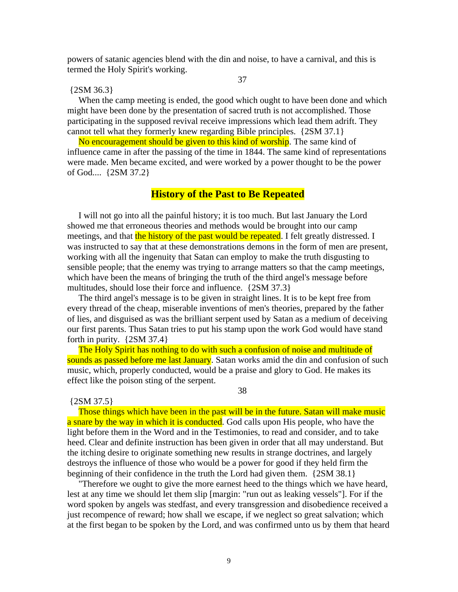powers of satanic agencies blend with the din and noise, to have a carnival, and this is termed the Holy Spirit's working.

## 37

### {2SM 36.3}

When the camp meeting is ended, the good which ought to have been done and which might have been done by the presentation of sacred truth is not accomplished. Those participating in the supposed revival receive impressions which lead them adrift. They cannot tell what they formerly knew regarding Bible principles. {2SM 37.1}

No encouragement should be given to this kind of worship. The same kind of influence came in after the passing of the time in 1844. The same kind of representations were made. Men became excited, and were worked by a power thought to be the power of God.... {2SM 37.2}

# **History of the Past to Be Repeated**

 I will not go into all the painful history; it is too much. But last January the Lord showed me that erroneous theories and methods would be brought into our camp meetings, and that the history of the past would be repeated. I felt greatly distressed. I was instructed to say that at these demonstrations demons in the form of men are present, working with all the ingenuity that Satan can employ to make the truth disgusting to sensible people; that the enemy was trying to arrange matters so that the camp meetings, which have been the means of bringing the truth of the third angel's message before multitudes, should lose their force and influence. {2SM 37.3}

 The third angel's message is to be given in straight lines. It is to be kept free from every thread of the cheap, miserable inventions of men's theories, prepared by the father of lies, and disguised as was the brilliant serpent used by Satan as a medium of deceiving our first parents. Thus Satan tries to put his stamp upon the work God would have stand forth in purity. {2SM 37.4}

The Holy Spirit has nothing to do with such a confusion of noise and multitude of sounds as passed before me last January. Satan works amid the din and confusion of such music, which, properly conducted, would be a praise and glory to God. He makes its effect like the poison sting of the serpent.

#### {2SM 37.5}

38

Those things which have been in the past will be in the future. Satan will make music a snare by the way in which it is conducted. God calls upon His people, who have the light before them in the Word and in the Testimonies, to read and consider, and to take heed. Clear and definite instruction has been given in order that all may understand. But the itching desire to originate something new results in strange doctrines, and largely destroys the influence of those who would be a power for good if they held firm the beginning of their confidence in the truth the Lord had given them. {2SM 38.1}

 "Therefore we ought to give the more earnest heed to the things which we have heard, lest at any time we should let them slip [margin: "run out as leaking vessels"]. For if the word spoken by angels was stedfast, and every transgression and disobedience received a just recompence of reward; how shall we escape, if we neglect so great salvation; which at the first began to be spoken by the Lord, and was confirmed unto us by them that heard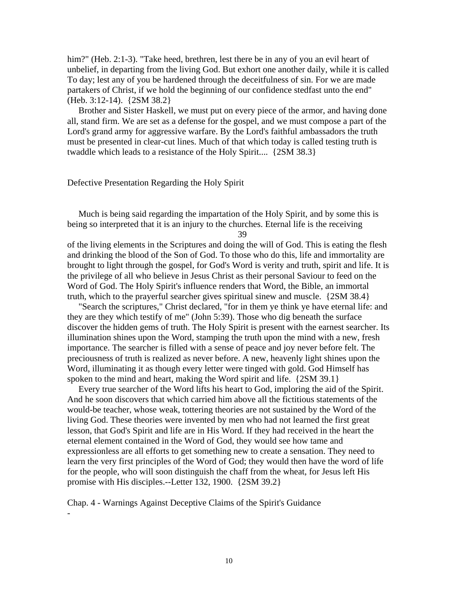him?" (Heb. 2:1-3). "Take heed, brethren, lest there be in any of you an evil heart of unbelief, in departing from the living God. But exhort one another daily, while it is called To day; lest any of you be hardened through the deceitfulness of sin. For we are made partakers of Christ, if we hold the beginning of our confidence stedfast unto the end" (Heb. 3:12-14). {2SM 38.2}

 Brother and Sister Haskell, we must put on every piece of the armor, and having done all, stand firm. We are set as a defense for the gospel, and we must compose a part of the Lord's grand army for aggressive warfare. By the Lord's faithful ambassadors the truth must be presented in clear-cut lines. Much of that which today is called testing truth is twaddle which leads to a resistance of the Holy Spirit.... {2SM 38.3}

Defective Presentation Regarding the Holy Spirit

 Much is being said regarding the impartation of the Holy Spirit, and by some this is being so interpreted that it is an injury to the churches. Eternal life is the receiving 39

of the living elements in the Scriptures and doing the will of God. This is eating the flesh and drinking the blood of the Son of God. To those who do this, life and immortality are brought to light through the gospel, for God's Word is verity and truth, spirit and life. It is the privilege of all who believe in Jesus Christ as their personal Saviour to feed on the Word of God. The Holy Spirit's influence renders that Word, the Bible, an immortal truth, which to the prayerful searcher gives spiritual sinew and muscle. {2SM 38.4}

 "Search the scriptures," Christ declared, "for in them ye think ye have eternal life: and they are they which testify of me" (John 5:39). Those who dig beneath the surface discover the hidden gems of truth. The Holy Spirit is present with the earnest searcher. Its illumination shines upon the Word, stamping the truth upon the mind with a new, fresh importance. The searcher is filled with a sense of peace and joy never before felt. The preciousness of truth is realized as never before. A new, heavenly light shines upon the Word, illuminating it as though every letter were tinged with gold. God Himself has spoken to the mind and heart, making the Word spirit and life. {2SM 39.1}

 Every true searcher of the Word lifts his heart to God, imploring the aid of the Spirit. And he soon discovers that which carried him above all the fictitious statements of the would-be teacher, whose weak, tottering theories are not sustained by the Word of the living God. These theories were invented by men who had not learned the first great lesson, that God's Spirit and life are in His Word. If they had received in the heart the eternal element contained in the Word of God, they would see how tame and expressionless are all efforts to get something new to create a sensation. They need to learn the very first principles of the Word of God; they would then have the word of life for the people, who will soon distinguish the chaff from the wheat, for Jesus left His promise with His disciples.--Letter 132, 1900. {2SM 39.2}

Chap. 4 - Warnings Against Deceptive Claims of the Spirit's Guidance

-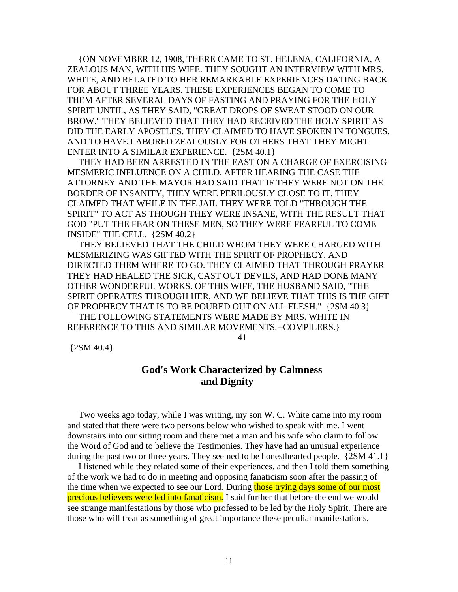{ON NOVEMBER 12, 1908, THERE CAME TO ST. HELENA, CALIFORNIA, A ZEALOUS MAN, WITH HIS WIFE. THEY SOUGHT AN INTERVIEW WITH MRS. WHITE, AND RELATED TO HER REMARKABLE EXPERIENCES DATING BACK FOR ABOUT THREE YEARS. THESE EXPERIENCES BEGAN TO COME TO THEM AFTER SEVERAL DAYS OF FASTING AND PRAYING FOR THE HOLY SPIRIT UNTIL, AS THEY SAID, "GREAT DROPS OF SWEAT STOOD ON OUR BROW." THEY BELIEVED THAT THEY HAD RECEIVED THE HOLY SPIRIT AS DID THE EARLY APOSTLES. THEY CLAIMED TO HAVE SPOKEN IN TONGUES, AND TO HAVE LABORED ZEALOUSLY FOR OTHERS THAT THEY MIGHT ENTER INTO A SIMILAR EXPERIENCE. {2SM 40.1}

 THEY HAD BEEN ARRESTED IN THE EAST ON A CHARGE OF EXERCISING MESMERIC INFLUENCE ON A CHILD. AFTER HEARING THE CASE THE ATTORNEY AND THE MAYOR HAD SAID THAT IF THEY WERE NOT ON THE BORDER OF INSANITY, THEY WERE PERILOUSLY CLOSE TO IT. THEY CLAIMED THAT WHILE IN THE JAIL THEY WERE TOLD "THROUGH THE SPIRIT" TO ACT AS THOUGH THEY WERE INSANE, WITH THE RESULT THAT GOD "PUT THE FEAR ON THESE MEN, SO THEY WERE FEARFUL TO COME INSIDE" THE CELL. {2SM 40.2}

 THEY BELIEVED THAT THE CHILD WHOM THEY WERE CHARGED WITH MESMERIZING WAS GIFTED WITH THE SPIRIT OF PROPHECY, AND DIRECTED THEM WHERE TO GO. THEY CLAIMED THAT THROUGH PRAYER THEY HAD HEALED THE SICK, CAST OUT DEVILS, AND HAD DONE MANY OTHER WONDERFUL WORKS. OF THIS WIFE, THE HUSBAND SAID, "THE SPIRIT OPERATES THROUGH HER, AND WE BELIEVE THAT THIS IS THE GIFT OF PROPHECY THAT IS TO BE POURED OUT ON ALL FLESH." {2SM 40.3}

 THE FOLLOWING STATEMENTS WERE MADE BY MRS. WHITE IN REFERENCE TO THIS AND SIMILAR MOVEMENTS.--COMPILERS.}

41

{2SM 40.4}

# **God's Work Characterized by Calmness and Dignity**

 Two weeks ago today, while I was writing, my son W. C. White came into my room and stated that there were two persons below who wished to speak with me. I went downstairs into our sitting room and there met a man and his wife who claim to follow the Word of God and to believe the Testimonies. They have had an unusual experience during the past two or three years. They seemed to be honesthearted people.  ${2SM 41.1}$ 

 I listened while they related some of their experiences, and then I told them something of the work we had to do in meeting and opposing fanaticism soon after the passing of the time when we expected to see our Lord. During those trying days some of our most precious believers were led into fanaticism. I said further that before the end we would see strange manifestations by those who professed to be led by the Holy Spirit. There are those who will treat as something of great importance these peculiar manifestations,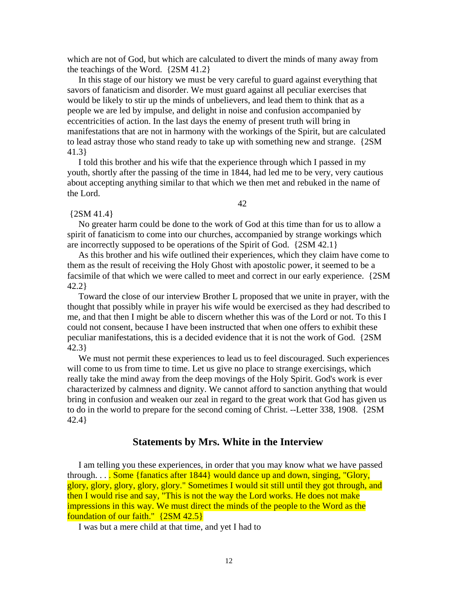which are not of God, but which are calculated to divert the minds of many away from the teachings of the Word. {2SM 41.2}

 In this stage of our history we must be very careful to guard against everything that savors of fanaticism and disorder. We must guard against all peculiar exercises that would be likely to stir up the minds of unbelievers, and lead them to think that as a people we are led by impulse, and delight in noise and confusion accompanied by eccentricities of action. In the last days the enemy of present truth will bring in manifestations that are not in harmony with the workings of the Spirit, but are calculated to lead astray those who stand ready to take up with something new and strange. {2SM 41.3}

 I told this brother and his wife that the experience through which I passed in my youth, shortly after the passing of the time in 1844, had led me to be very, very cautious about accepting anything similar to that which we then met and rebuked in the name of the Lord.

42

### {2SM 41.4}

 No greater harm could be done to the work of God at this time than for us to allow a spirit of fanaticism to come into our churches, accompanied by strange workings which are incorrectly supposed to be operations of the Spirit of God. {2SM 42.1}

 As this brother and his wife outlined their experiences, which they claim have come to them as the result of receiving the Holy Ghost with apostolic power, it seemed to be a facsimile of that which we were called to meet and correct in our early experience. {2SM 42.2}

 Toward the close of our interview Brother L proposed that we unite in prayer, with the thought that possibly while in prayer his wife would be exercised as they had described to me, and that then I might be able to discern whether this was of the Lord or not. To this I could not consent, because I have been instructed that when one offers to exhibit these peculiar manifestations, this is a decided evidence that it is not the work of God. {2SM 42.3}

 We must not permit these experiences to lead us to feel discouraged. Such experiences will come to us from time to time. Let us give no place to strange exercisings, which really take the mind away from the deep movings of the Holy Spirit. God's work is ever characterized by calmness and dignity. We cannot afford to sanction anything that would bring in confusion and weaken our zeal in regard to the great work that God has given us to do in the world to prepare for the second coming of Christ. --Letter 338, 1908. {2SM 42.4}

### **Statements by Mrs. White in the Interview**

 I am telling you these experiences, in order that you may know what we have passed through. . . Some {fanatics after 1844} would dance up and down, singing, "Glory, glory, glory, glory, glory, glory." Sometimes I would sit still until they got through, and then I would rise and say, "This is not the way the Lord works. He does not make impressions in this way. We must direct the minds of the people to the Word as the foundation of our faith." {2SM 42.5}

I was but a mere child at that time, and yet I had to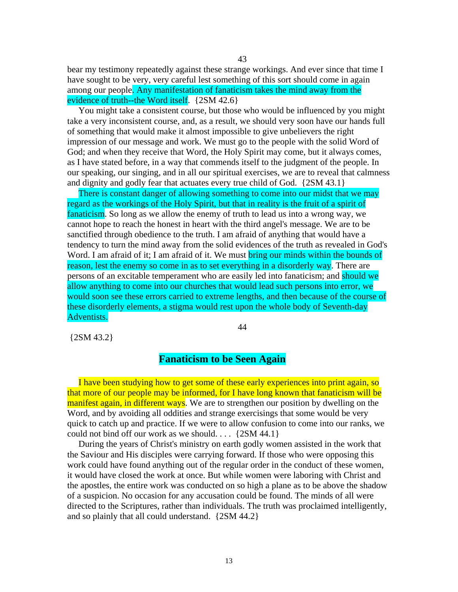bear my testimony repeatedly against these strange workings. And ever since that time I have sought to be very, very careful lest something of this sort should come in again among our people. Any manifestation of fanaticism takes the mind away from the evidence of truth--the Word itself. {2SM 42.6}

 You might take a consistent course, but those who would be influenced by you might take a very inconsistent course, and, as a result, we should very soon have our hands full of something that would make it almost impossible to give unbelievers the right impression of our message and work. We must go to the people with the solid Word of God; and when they receive that Word, the Holy Spirit may come, but it always comes, as I have stated before, in a way that commends itself to the judgment of the people. In our speaking, our singing, and in all our spiritual exercises, we are to reveal that calmness and dignity and godly fear that actuates every true child of God. {2SM 43.1}

There is constant danger of allowing something to come into our midst that we may regard as the workings of the Holy Spirit, but that in reality is the fruit of a spirit of fanaticism. So long as we allow the enemy of truth to lead us into a wrong way, we cannot hope to reach the honest in heart with the third angel's message. We are to be sanctified through obedience to the truth. I am afraid of anything that would have a tendency to turn the mind away from the solid evidences of the truth as revealed in God's Word. I am afraid of it; I am afraid of it. We must **bring our minds within the bounds of** reason, lest the enemy so come in as to set everything in a disorderly way. There are persons of an excitable temperament who are easily led into fanaticism; and should we allow anything to come into our churches that would lead such persons into error, we would soon see these errors carried to extreme lengths, and then because of the course of these disorderly elements, a stigma would rest upon the whole body of Seventh-day Adventists.

{2SM 43.2}

44

# **Fanaticism to be Seen Again**

 I have been studying how to get some of these early experiences into print again, so that more of our people may be informed, for I have long known that fanaticism will be manifest again, in different ways. We are to strengthen our position by dwelling on the Word, and by avoiding all oddities and strange exercisings that some would be very quick to catch up and practice. If we were to allow confusion to come into our ranks, we could not bind off our work as we should. . . .  $\{2SM\,44.1\}$ 

 During the years of Christ's ministry on earth godly women assisted in the work that the Saviour and His disciples were carrying forward. If those who were opposing this work could have found anything out of the regular order in the conduct of these women, it would have closed the work at once. But while women were laboring with Christ and the apostles, the entire work was conducted on so high a plane as to be above the shadow of a suspicion. No occasion for any accusation could be found. The minds of all were directed to the Scriptures, rather than individuals. The truth was proclaimed intelligently, and so plainly that all could understand. {2SM 44.2}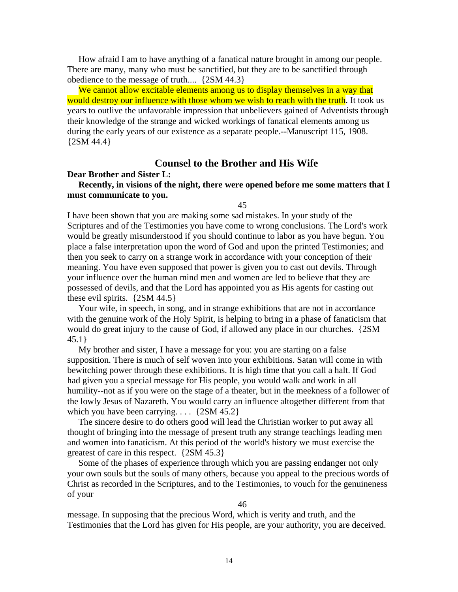How afraid I am to have anything of a fanatical nature brought in among our people. There are many, many who must be sanctified, but they are to be sanctified through obedience to the message of truth.... {2SM 44.3}

We cannot allow excitable elements among us to display themselves in a way that would destroy our influence with those whom we wish to reach with the truth. It took us years to outlive the unfavorable impression that unbelievers gained of Adventists through their knowledge of the strange and wicked workings of fanatical elements among us during the early years of our existence as a separate people.--Manuscript 115, 1908. {2SM 44.4}

## **Counsel to the Brother and His Wife**

### **Dear Brother and Sister L:**

## **Recently, in visions of the night, there were opened before me some matters that I must communicate to you.**

45

I have been shown that you are making some sad mistakes. In your study of the Scriptures and of the Testimonies you have come to wrong conclusions. The Lord's work would be greatly misunderstood if you should continue to labor as you have begun. You place a false interpretation upon the word of God and upon the printed Testimonies; and then you seek to carry on a strange work in accordance with your conception of their meaning. You have even supposed that power is given you to cast out devils. Through your influence over the human mind men and women are led to believe that they are possessed of devils, and that the Lord has appointed you as His agents for casting out these evil spirits. {2SM 44.5}

 Your wife, in speech, in song, and in strange exhibitions that are not in accordance with the genuine work of the Holy Spirit, is helping to bring in a phase of fanaticism that would do great injury to the cause of God, if allowed any place in our churches. {2SM 45.1}

 My brother and sister, I have a message for you: you are starting on a false supposition. There is much of self woven into your exhibitions. Satan will come in with bewitching power through these exhibitions. It is high time that you call a halt. If God had given you a special message for His people, you would walk and work in all humility--not as if you were on the stage of a theater, but in the meekness of a follower of the lowly Jesus of Nazareth. You would carry an influence altogether different from that which you have been carrying....  $\{2SM 45.2\}$ 

 The sincere desire to do others good will lead the Christian worker to put away all thought of bringing into the message of present truth any strange teachings leading men and women into fanaticism. At this period of the world's history we must exercise the greatest of care in this respect. {2SM 45.3}

 Some of the phases of experience through which you are passing endanger not only your own souls but the souls of many others, because you appeal to the precious words of Christ as recorded in the Scriptures, and to the Testimonies, to vouch for the genuineness of your

46

message. In supposing that the precious Word, which is verity and truth, and the Testimonies that the Lord has given for His people, are your authority, you are deceived.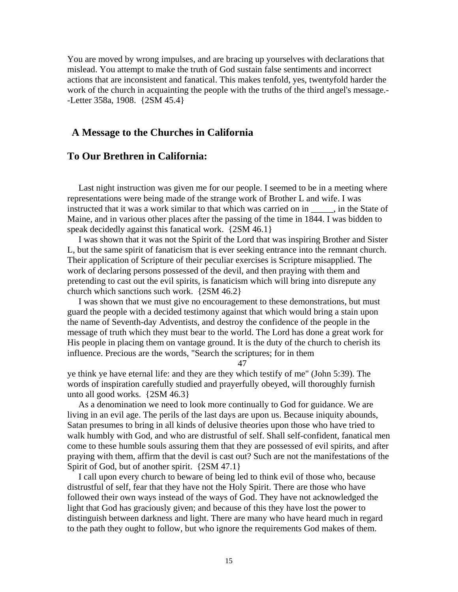You are moved by wrong impulses, and are bracing up yourselves with declarations that mislead. You attempt to make the truth of God sustain false sentiments and incorrect actions that are inconsistent and fanatical. This makes tenfold, yes, twentyfold harder the work of the church in acquainting the people with the truths of the third angel's message.- -Letter 358a, 1908. {2SM 45.4}

## **A Message to the Churches in California**

## **To Our Brethren in California:**

 Last night instruction was given me for our people. I seemed to be in a meeting where representations were being made of the strange work of Brother L and wife. I was instructed that it was a work similar to that which was carried on in \_\_\_\_\_, in the State of Maine, and in various other places after the passing of the time in 1844. I was bidden to speak decidedly against this fanatical work. {2SM 46.1}

 I was shown that it was not the Spirit of the Lord that was inspiring Brother and Sister L, but the same spirit of fanaticism that is ever seeking entrance into the remnant church. Their application of Scripture of their peculiar exercises is Scripture misapplied. The work of declaring persons possessed of the devil, and then praying with them and pretending to cast out the evil spirits, is fanaticism which will bring into disrepute any church which sanctions such work. {2SM 46.2}

 I was shown that we must give no encouragement to these demonstrations, but must guard the people with a decided testimony against that which would bring a stain upon the name of Seventh-day Adventists, and destroy the confidence of the people in the message of truth which they must bear to the world. The Lord has done a great work for His people in placing them on vantage ground. It is the duty of the church to cherish its influence. Precious are the words, "Search the scriptures; for in them

47

ye think ye have eternal life: and they are they which testify of me" (John 5:39). The words of inspiration carefully studied and prayerfully obeyed, will thoroughly furnish unto all good works. {2SM 46.3}

 As a denomination we need to look more continually to God for guidance. We are living in an evil age. The perils of the last days are upon us. Because iniquity abounds, Satan presumes to bring in all kinds of delusive theories upon those who have tried to walk humbly with God, and who are distrustful of self. Shall self-confident, fanatical men come to these humble souls assuring them that they are possessed of evil spirits, and after praying with them, affirm that the devil is cast out? Such are not the manifestations of the Spirit of God, but of another spirit. {2SM 47.1}

 I call upon every church to beware of being led to think evil of those who, because distrustful of self, fear that they have not the Holy Spirit. There are those who have followed their own ways instead of the ways of God. They have not acknowledged the light that God has graciously given; and because of this they have lost the power to distinguish between darkness and light. There are many who have heard much in regard to the path they ought to follow, but who ignore the requirements God makes of them.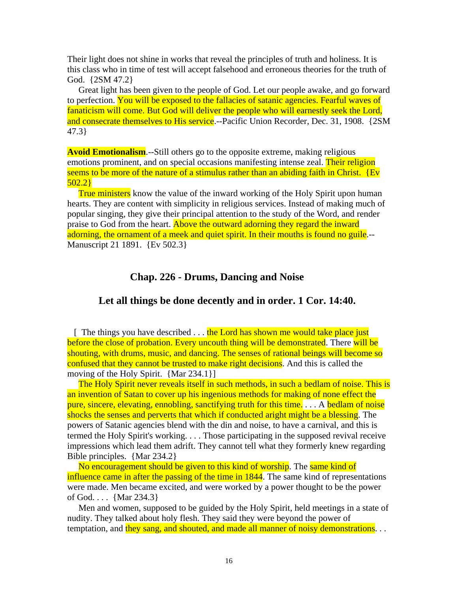Their light does not shine in works that reveal the principles of truth and holiness. It is this class who in time of test will accept falsehood and erroneous theories for the truth of God. {2SM 47.2}

 Great light has been given to the people of God. Let our people awake, and go forward to perfection. You will be exposed to the fallacies of satanic agencies. Fearful waves of fanaticism will come. But God will deliver the people who will earnestly seek the Lord, and consecrate themselves to His service.--Pacific Union Recorder, Dec. 31, 1908. {2SM 47.3}

**Avoid Emotionalism.**--Still others go to the opposite extreme, making religious emotions prominent, and on special occasions manifesting intense zeal. Their religion seems to be more of the nature of a stimulus rather than an abiding faith in Christ. {Ev 502.2}

True ministers know the value of the inward working of the Holy Spirit upon human hearts. They are content with simplicity in religious services. Instead of making much of popular singing, they give their principal attention to the study of the Word, and render praise to God from the heart. Above the outward adorning they regard the inward adorning, the ornament of a meek and quiet spirit. In their mouths is found no guile.--Manuscript 21 1891. {Ev 502.3}

## **Chap. 226 - Drums, Dancing and Noise**

# **Let all things be done decently and in order. 1 Cor. 14:40.**

[ The things you have described  $\dots$  the Lord has shown me would take place just before the close of probation. Every uncouth thing will be demonstrated. There will be shouting, with drums, music, and dancing. The senses of rational beings will become so confused that they cannot be trusted to make right decisions. And this is called the moving of the Holy Spirit. {Mar 234.1}]

 The Holy Spirit never reveals itself in such methods, in such a bedlam of noise. This is an invention of Satan to cover up his ingenious methods for making of none effect the pure, sincere, elevating, ennobling, sanctifying truth for this time. . . . A bedlam of noise shocks the senses and perverts that which if conducted aright might be a blessing. The powers of Satanic agencies blend with the din and noise, to have a carnival, and this is termed the Holy Spirit's working. . . . Those participating in the supposed revival receive impressions which lead them adrift. They cannot tell what they formerly knew regarding Bible principles. {Mar 234.2}

No encouragement should be given to this kind of worship. The same kind of influence came in after the passing of the time in 1844. The same kind of representations were made. Men became excited, and were worked by a power thought to be the power of God. . . . {Mar 234.3}

 Men and women, supposed to be guided by the Holy Spirit, held meetings in a state of nudity. They talked about holy flesh. They said they were beyond the power of temptation, and they sang, and shouted, and made all manner of noisy demonstrations...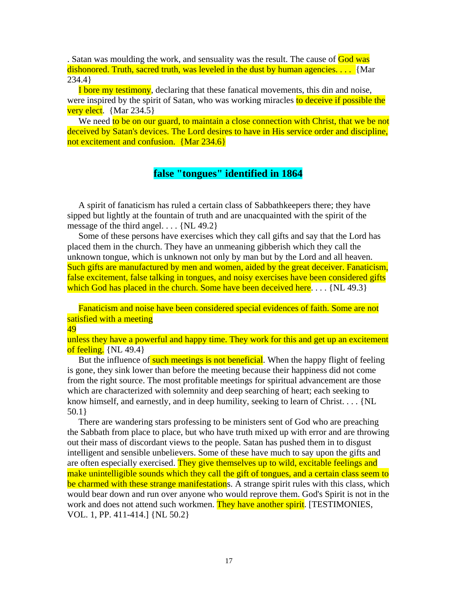. Satan was moulding the work, and sensuality was the result. The cause of God was dishonored. Truth, sacred truth, was leveled in the dust by human agencies.  $\dots$  {Mar 234.4}

 I bore my testimony, declaring that these fanatical movements, this din and noise, were inspired by the spirit of Satan, who was working miracles to deceive if possible the very elect. {Mar 234.5}

We need to be on our guard, to maintain a close connection with Christ, that we be not deceived by Satan's devices. The Lord desires to have in His service order and discipline, not excitement and confusion. {Mar 234.6}

# **false "tongues" identified in 1864**

 A spirit of fanaticism has ruled a certain class of Sabbathkeepers there; they have sipped but lightly at the fountain of truth and are unacquainted with the spirit of the message of the third angel. . . . {NL 49.2}

 Some of these persons have exercises which they call gifts and say that the Lord has placed them in the church. They have an unmeaning gibberish which they call the unknown tongue, which is unknown not only by man but by the Lord and all heaven. Such gifts are manufactured by men and women, aided by the great deceiver. Fanaticism, false excitement, false talking in tongues, and noisy exercises have been considered gifts which God has placed in the church. Some have been deceived here. . . . {NL 49.3}

 Fanaticism and noise have been considered special evidences of faith. Some are not satisfied with a meeting

#### 49

unless they have a powerful and happy time. They work for this and get up an excitement of feeling.  $\{NL\ 49.4\}$ 

But the influence of such meetings is not beneficial. When the happy flight of feeling is gone, they sink lower than before the meeting because their happiness did not come from the right source. The most profitable meetings for spiritual advancement are those which are characterized with solemnity and deep searching of heart; each seeking to know himself, and earnestly, and in deep humility, seeking to learn of Christ. . . . {NL 50.1}

 There are wandering stars professing to be ministers sent of God who are preaching the Sabbath from place to place, but who have truth mixed up with error and are throwing out their mass of discordant views to the people. Satan has pushed them in to disgust intelligent and sensible unbelievers. Some of these have much to say upon the gifts and are often especially exercised. They give themselves up to wild, excitable feelings and make unintelligible sounds which they call the gift of tongues, and a certain class seem to be charmed with these strange manifestations. A strange spirit rules with this class, which would bear down and run over anyone who would reprove them. God's Spirit is not in the work and does not attend such workmen. They have another spirit. [TESTIMONIES, VOL. 1, PP. 411-414.] {NL 50.2}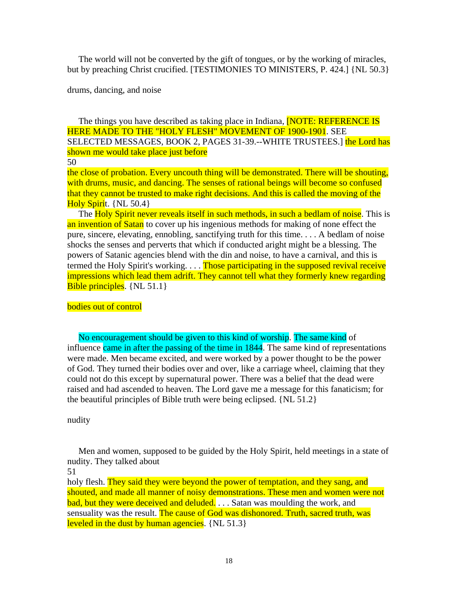The world will not be converted by the gift of tongues, or by the working of miracles, but by preaching Christ crucified. [TESTIMONIES TO MINISTERS, P. 424.] {NL 50.3}

drums, dancing, and noise

The things you have described as taking place in Indiana, **[NOTE: REFERENCE IS** HERE MADE TO THE "HOLY FLESH" MOVEMENT OF 1900-1901. SEE SELECTED MESSAGES, BOOK 2, PAGES 31-39.--WHITE TRUSTEES.] the Lord has shown me would take place just before 50

the close of probation. Every uncouth thing will be demonstrated. There will be shouting, with drums, music, and dancing. The senses of rational beings will become so confused that they cannot be trusted to make right decisions. And this is called the moving of the Holy Spirit. {NL 50.4}

The Holy Spirit never reveals itself in such methods, in such a bedlam of noise. This is an invention of Satan to cover up his ingenious methods for making of none effect the pure, sincere, elevating, ennobling, sanctifying truth for this time. . . . A bedlam of noise shocks the senses and perverts that which if conducted aright might be a blessing. The powers of Satanic agencies blend with the din and noise, to have a carnival, and this is termed the Holy Spirit's working. . . . Those participating in the supposed revival receive impressions which lead them adrift. They cannot tell what they formerly knew regarding Bible principles. {NL 51.1}

bodies out of control

 No encouragement should be given to this kind of worship. The same kind of influence came in after the passing of the time in 1844. The same kind of representations were made. Men became excited, and were worked by a power thought to be the power of God. They turned their bodies over and over, like a carriage wheel, claiming that they could not do this except by supernatural power. There was a belief that the dead were raised and had ascended to heaven. The Lord gave me a message for this fanaticism; for the beautiful principles of Bible truth were being eclipsed. {NL 51.2}

nudity

 Men and women, supposed to be guided by the Holy Spirit, held meetings in a state of nudity. They talked about

51

holy flesh. They said they were beyond the power of temptation, and they sang, and shouted, and made all manner of noisy demonstrations. These men and women were not bad, but they were deceived and deluded. . . . Satan was moulding the work, and sensuality was the result. The cause of God was dishonored. Truth, sacred truth, was leveled in the dust by human agencies. {NL 51.3}